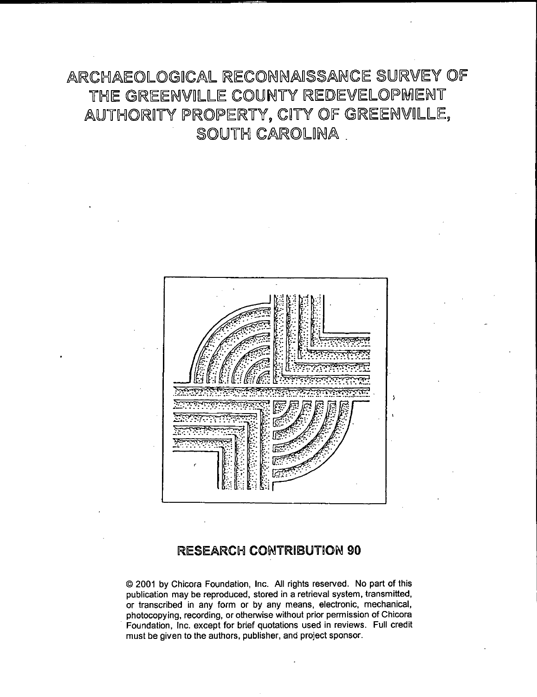## ARCHAEOLOGICAL RECONNAISSANCE SURVEY OF THE GREENVILLE COUNTY REDEVELOPMENT AUTHORITY PROPERTY, CITY OF GREENVILLE, SOUTH CAROLINA



### RESEARCH CONTRIBUTION 90

© 2001 by Chicora Foundation, Inc. All rights reserved. No part of this publication may be reproduced, stored in a retrieval system, transmitted, or transcribed in any form or by any means, electronic, mechanical, photocopying, recording, or otherwise without prior permission of Chicora · Foundation, Inc. except for brief quotations used in reviews. Full credit must be given to the authors, publisher, and project sponsor.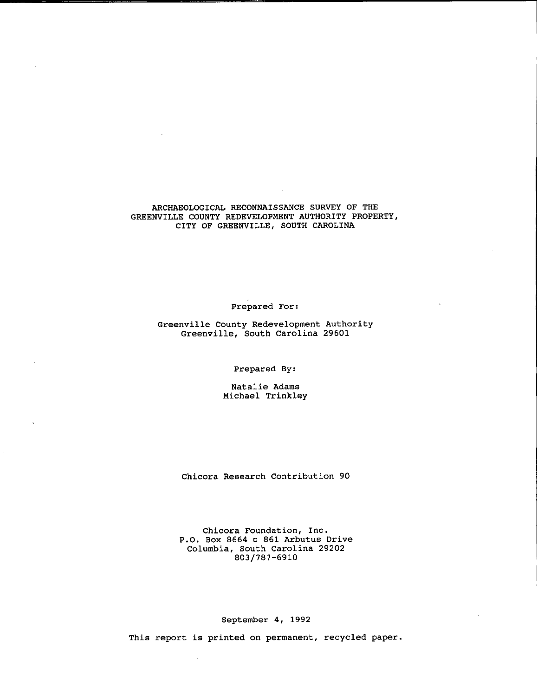#### ARCHAEOLOGICAL RECONNAISSANCE SURVEY OF THE GREENVILLE COUNTY REDEVELOPMENT AUTHORITY PROPERTY, CITY OF GREENVILLE, SOUTH CAROLINA

**Prepared For:** 

**Greenville County Redevelopment Authority**  Greenville, South Carolina 29601

Prepared By:

Natalie Adams Michael Trinkley

Chicora Research Contribution 90

**Chicora Foundation, Inc.**  P.O. Box 8664 c 861 Arbutus Drive Columbia, South Carolina 29202 803/787-6910

September 4, 1992

**This report is printed on permanent, recycled paper.**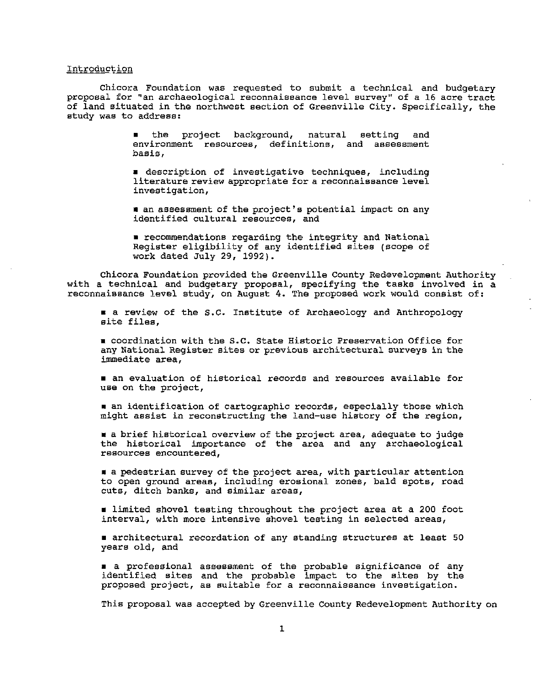#### **Introduction**

Chicora Foundation was requested to submit a technical and budgetary **proposal for "an archaeological reconnaissance level survey" of a 16 acre tract**  of land situated in the northwest section of Greenville City. Specifically, the **study was to address:** 

> • the project background, natural setting and **environment resources, definitions, and assessment basis,**

> • **description of investigative techniques, including literature review appropriate for a reconnaissance level investigation,**

> •an assessment of the project's potential impact on any identified cultural resources, and

> • recommendations regarding the integrity and National Register eligibility of any identified sites (scope of work dated July 29, 1992).

Chicora Foundation provided the Greenville County Redevelopment Authority with a technical and budgetary proposal, specifying the tasks involved in a reconnaissance level study; on August 4. The proposed work would consist of:

• a review of the s.c. Institute of Archaeology and Anthropology **site files,** 

• coordination with the s.c. State Historic Preservation Office for **any National Register sites or previous architectural surveys in the immediate area,** 

• **an evaluation of historical records and resources available for use on the project,** 

• **an identification of cartographic records, especially those which**  might assist in reconstructing the land-use history of the region,

• a brief historical overview of the project area, adequate to judge the historical importance of the area and any archaeological **resources encountered,** 

• a pedestrian survey of the project area, with particular attention **to open ground areas, including erosional zones, bald spots, road cuts, ditch banks, and similar areas,** 

• limited shovel testing throughout the project area at a 200 foot interval, with more intensive shovel testing in selected areas,

• **architectural recordation of any standing structures at least 50**  years old, and

• a professional assessment of the probable significance of any I a professional assessment of the probable impact to the sites by the **proposed project, as suitable for a reconnaissance investigation.** 

This proposal was accepted by Greenville County Redevelopment Authority on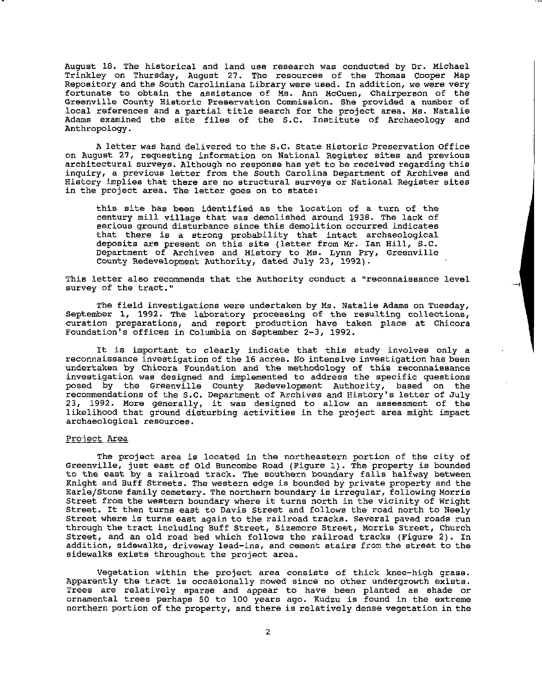August 18. The historical and land use research was conducted by Dr. Michael Trinkley on Thursday, August 27. The resources of the Thomas Cooper Map Repository and the South Caroliniana Library were used. In addition, we were very fortunate to obtain the assistance of Ms. Ann Mccuen, Chairperson of the **Greenville County Historic Preservation Commission. She provided a number of**  local references and a partial title search for the project area. Ms. Natalie Adams examined the site files of the S.C. Institute of Archaeology and Anthropology.

A letter was hand delivered to the s.c. State Historic Preservation Office **on August 27, requesting information on National Register sites and previous**  architectural surveys. Although no response has yet to be received regarding this **inquiry, a previous letter from the south Carolina Department of Archives and History implies that there are no structural surveys or National Register sites**  in the project area. The letter goes on to state:

this site has been identified as the location of a turn of the century mill village that was demolished around 1938. The lack of **serious ground disturbance since this demolition occurred indicates**  that there is a strong probability that intact archaeological deposits are present on this site (letter from Mr. Ian Hill, S.C. Department of Archives and History to Ms. Lynn Pry, Greenville county Redevelopment Authority, dated July 23, 1992).

**This letter also recommends that the Authority conduct a "reconnaissance level survey of the tract. <sup>11</sup>**

The field investigations were undertaken by Ms. Natalie Adams on Tuesday, September 1, 1992. The laboratory processing of the resulting collections, curation preparations, and report production have taken place at Chicora Foundation's offices in Columbia on September 2-3, 1992.

It is important to clearly indicate that this study involves only a **reconnaissance investigation of the 16 acres. No intensive investigation has been**  undertaken by Chicora Foundation and the methodology of this reconnaissance investigation was designed and implemented to address the specific questions posed by the Greenville County Redevelopment Authority, based on the recommendations of the s.c. Department of Archives and History's letter of July 23, 1992. More generally, it was designed to allow an assessment of the likelihood that ground disturbing activities in the project area might impact **archaeological resources.** 

#### **Project Area**

The project area is located in the northeastern portion of the city of Greenville, just east of Old Buncombe Road (Figure 1). The property is bounded to the east by a railroad track. The southern boundary falls halfway between Knight and Buff Streets. The western edge is bounded by private property and the Earle/Stone family cemetery. The northern boundary is irregular, following Morris Street from the western boundary where it turns north in the vicinity of Wright Street. It then turns east to Davis Street and follows the road north to Neely **Street where is turns east again to the railroad tracks. Several paved roads run**  through the tract including Buff Street, Sizemore Street, Morris Street, Church Street, and an old road bed which follows the railroad tracks (Figure 2). In **addition, sidewalks, driveway lead-ins, and cement stairs from the street to the**  sidewalks exists throughout the project area.

Vegetation within the project area consists of thick knee-high grass. Apparently the tract is occasionally mowed since no other undergrowth exists. Trees are relatively sparse and appear to have been planted as shade or ornamental trees perhaps 50 to 100 years ago. Kudzu is found in the extreme northern portion of the property, and there is relatively dense vegetation in the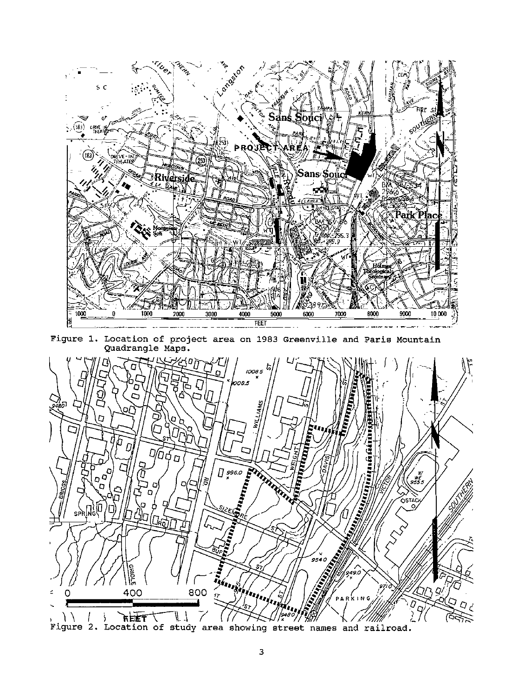

Figure 1. Location of project area on 1983 Greenville and Paris Mountain Quadrangle Maps.



Figure 2. Location of study area showing street names and railroad.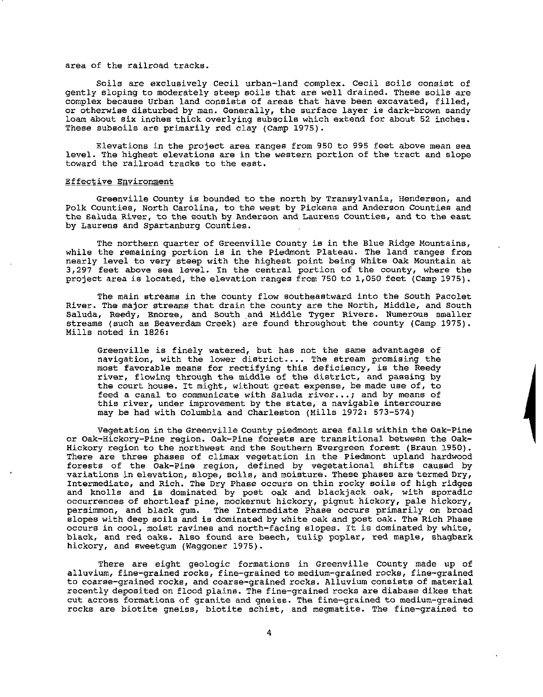#### area of the railroad tracks.

Soils are exclusively Cecil urban-land complex. Cecil soils consist of gently sloping to moderately steep soils that are well drained. These soils are **complex because Urban land consists of areas that have been excavated, filled,**  or otherwise disturbed by man. Generally, the surface layer is dark-brown sandy loam about six inches thick overlying subsoils which extend for about 52 inches. These subsoils are primarily red clay (Camp 1975).

Elevations in the project area ranges from 950 to 995 feet above mean sea level. The highest elevations are in the western portion of the tract and slope toward the railroad tracks to the east.

#### **Effective Environment**

Greenville County is bounded to the north by Transylvania, Henderson, and **Polk Counties, North Carolina, to the west by Pickens and Anderson Counties and the Saluda River, to the south by Anderson and Laurens Counties, and to the east**  by Laurens and Spartanburg counties.

**The northern quarter of Greenville County is in the Blue Ridge Mountains,**  while the remaining portion is in the Piedmont Plateau. The land ranges from nearly level to very steep with the highest point being White Oak Mountain at **3,297 feet above sea level. In the central portion of the county, where the**  project area is located, the elevation ranges from 750 to 1,050 feet (Camp 1975).

The main streams in the county flow southeastward into the south Pacolet River. The major streams that drain the county are the North, Middle, and South Saluda, Reedy, Enoree, and South and Middle Tyger Rivers. Numerous smaller streams (such as Beaverdam Creek) are found throughout the county (Camp 1975). Mills noted in 1826:

Greenville is finely watered, but has not the same advantages of navigation, with the lower district.... The stream promising the most favorable means for rectifying this deficiency, is the Reedy river, flowing through the middle of the district, and passing by **the court house. It might, without great expense, be made use of, to feed a canal to communicate with Saluda river ... ; and by means of this river, under improvement by the state, a navigable intercourse**  may be had with Columbia and Charleston (Mills 1972: 573-574)

Vegetation in the Greenville County piedmont area falls within the Oak-Pine or Oak-Hickory-Pine region. Oak-Pine forests are transitional between the Oak-Hickory region to the northwest and the Southern Evergreen forest (Braun 1950). There are three phases of climax vegetation in the Piedmont upland hardwood forests of the oak-Pine region, defined by vegetational shifts caused by **variations in elevation, slope, soils, and moisture. These phases are termed Dry,**  Intermediate, and Rich. The Dry Phase occurs on thin rocky soils of high ridges and knolls and is dominated by post oak and blackjack oak, with sporadic occurrences of shortleaf pine, mockernut hickory, pignut hickory, pale hickory, persimmon, and black gum. The Intermediate Phase occurs primarily on broad slopes with deep soils and is dominated by white oak and post oak. The Rich Phase **occurs in cool, moist ravines and north-facing slopes.** It is **dominated by white,**  black, and red oaks. Also found are beech, tulip poplar, red maple, shagbark hickory, and sweetgum (Waggoner 1975).

There are eight geologic formations in Greenville County made up of alluvium, fine-grained rocks, fine-grained to medium-grained rocks, fine-grained to coarse-grained rocks, and coarse-grained rocks. Alluvium consists of material recently deposited on flood plains. The fine-grained rocks are diabase dikes that cut across formations of granite and gneiss. The fine-grained to medium-grained rocks are biotite gneiss, biotite schist, and megmatite. The fine-grained to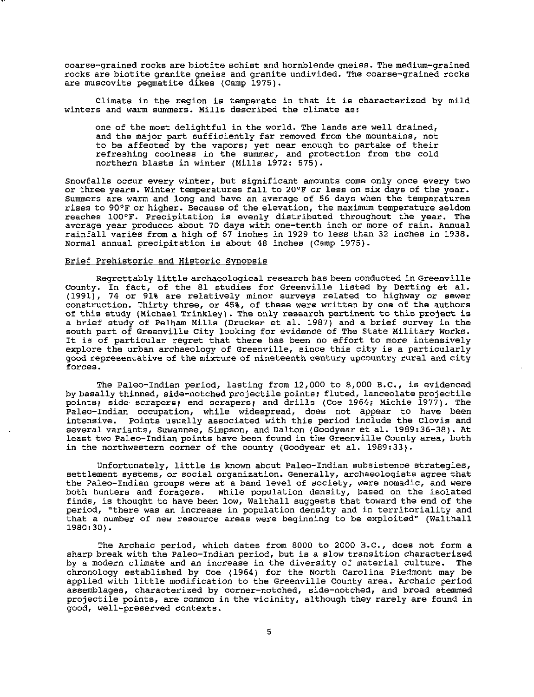**coarse-grained rocks are biotite schist and hornblende gneiss. The medium-grained rocks are biotite granite gneiss and granite undivided. The coarse-grained rocks**  are muscovite pegmatite dikes (Camp 1975).

Climate in the region is temperate in that it is characterized by mild **winters and warm summers. Mills described the climate as:** 

one of the most delightful in the world. The lands are well drained, **and the major part sufficiently far removed from the mountains, not**  to be affected by the vapors; yet near enough to partake of their **refreshing coolness in the summer, and protection from the cold**  northern blasts in winter (Mills 1972: 575).

**Snowfalls occur every winter, but significant amounts come only once every two or three years. Winter temperatures fall to 20°F or less on six days of the year. Summers are warm and long and have an average of 56 days when the temperatures**  rises to 90°F or higher. Because of the elevation, the maximum temperature seldom reaches 100°F. Precipitation is evenly distributed throughout the year. The **average year produces about 70 days with one-tenth inch or more of rain. Annual**  rainfall varies from a high of 67 inches in 1929 to less than 32 inches in 1938. Normal annual precipitation is about 48 inches (Camp 1975).

#### **Brief Prehistoric and Historic Synopsis**

Regrettably little archaeological research has been conducted in Greenville County. In fact, of the 81 studies for Greenville listed by Derting et al. (1991), 74 or 91% are relatively minor surveys related to highway or sewer **construction. Thirty three, or 45%, of these were written by one of the authors**  of this study (Michael Trinkley). The only research pertinent to this project is a brief study of Pelham Mills (Drucker et al. 1987) and a brief survey in the south part of Greenville City looking for evidence of The State Military Works. It is of particular regret that there has been no effort to more intensively **explore the urban archaeology of Greenville, since this city is a particularly**  good representative of the mixture of nineteenth century upcountry rural and city **forces.** 

The Paleo-Indian period, lasting from 12,000 to 8,000 B.C., is evidenced by basally thinned, side-notched projectile points; fluted, lanceolate projectile points; side scrapers; end scrapers; and drills (Coe 1964; Michie 1977). The Paleo-Indian occupation, while widespread, does not appear to have been<br>intensive. Points usually associated with this period include the Clovis and Points usually associated with this period include the Clovis and several variants, Suwannee, Simpson, and Dalton (Goodyear et al. 1989:36-38). At least two Paleo-Indian points have been found in the Greenville County area, both in the northwestern corner of the county (Goodyear et al. 1989:33).

Unfortunately, little is known about Paleo-Indian subsistence strategies, **settlement systems, or social organization. Generally, archaeologists agree that the Paleo-Indian groups were at a band level of society, were nomadic, and were**  both hunters and foragers. While population density, based on the isolated finds, is thought to have been low, Walthall suggests that toward the end of the **period, "there was an increase in population density and in territoriality and**  that a number of new resource areas were beginning to be exploited" (Walthall 1980:30).

The Archaic period, which dates from 8000 to 2000 B.c., does not form a sharp break with the Paleo-Indian period, but is a slow transition characterized by a modern climate and an increase in the diversity of material culture. The chronology established by Coe (1964) for the North Carolina Piedmont may be applied with little modification to the Greenville County area. Archaic period **assemblages, characterized by corner-notched, side-notched, and broad stemmed projectile points, are common in the vicinity, although they rarely are found in good, well-preserved contexts.**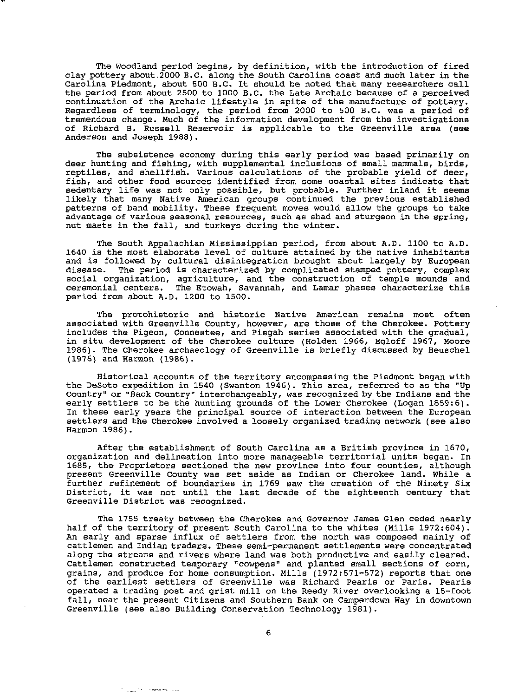The Woodland period begins, by definition, with the introduction of fired clay pottery about.2000 B.C. along the South Carolina coast and much later in the Carolina Piedmont, about 500 B.C. It should be noted that many researchers call the period from about 2500 to 1000 B.C. the Late Archaic because of a perceived continuation of the Archaic lifestyle in spite of the manufacture of pottery. Regardless of terminology, the period from 2000 to 500 B.C. was a period of tremendous change. Much of the information development from the investigations of Richard B. Russell Reservoir is applicable to the Greenville area (see Anderson and Joseph 1988).

The subsistence economy during this early period was based primarily on **deer hunting and fishing, with supplemental inclusions of small marmnals, birds,**  reptiles, and shellfish. Various calculations of the probable yield of deer, fish, and other food sources identified from some coastal sites indicate that sedentary life was not only possible, but probable. Further inland it seems likely that many Native American groups continued the previous established patterns of band mobility. These frequent moves would allow the groups to take **advantage of various seasonal resources, such as shad and sturgeon in the spring,**  nut masts in the fall, and turkeys during the winter.

The South Appalachian Mississippian period, from about A.D. 1100 to A.D. 1640 is the most elaborate level of culture attained by the native inhabitants and is followed by cultural disintegration brought about largely by European disease. The period is characterized by complicated stamped pottery, complex **social organization, agriculture, and the construction of temple mounds and ceremonial centers. The Etowah, Savannah, and Lamar phases characterize this**  period from about A.D. 1200 to 1500.

**The protohistoric and historic Native American remains most often**  associated with Greenville County, however, are those of the Cherokee. Pottery includes the Pigeon, Connestee, and Pisgah series associated with the gradual, in situ development of the Cherokee culture (Holden 1966, Egloff 1967, Moore 1986). The Cherokee archaeology of Greenville is briefly discussed by Beuschel (1976) and Harmon (1986).

**Historical accounts of the territory encompassing the Piedmont began with**  the Desoto expedition in 1540 (Swanton 1946). This area, referred to as the "Up Country" or "Back Country" interchangeably, was recognized by the Indians and the early settlers to be the hunting grounds of the Lower Cherokee (Logan 1859:6). **In these early years the principal source of interaction between the European**  settlers and the Cherokee involved a loosely organized trading network (see also Harmon 1986).

After the establishment of South Carolina as a British province in 1670, organization and delineation into more manageable territorial units began. In **1685, the Proprietors sectioned the new province into four counties, although**  present Greenville County was set aside as Indian or Cherokee land. While a further refinement of boundaries in 1769 saw the creation of the Ninety Six District, it was not until the last decade of the eighteenth century that **Greenville District was recognized.** 

The 1755 treaty between the Cherokee and Governor James Glen ceded nearly half of the territory of present South Carolina to the whites (Mills 1972:604). An early and sparse influx of settlers from the north was composed mainly of cattlemen and Indian traders. These semi-permanent settlements were concentrated along the streams and rivers where land was both productive and easily cleared. **Cattlemen constructed temporary "cowpens" and planted small sections of corn,**  grains, and produce for home consumption. Mills (1972:571-572) reports that one of the earliest settlers of Greenville was Richard Pearis or Paris. Pearls operated a trading post and grist mill on the Reedy River overlooking a 15-foot fall, near the present Citizens and Southern Bank on Camperdown Way in downtown Greenville (see also Building Conservation Technology 1981).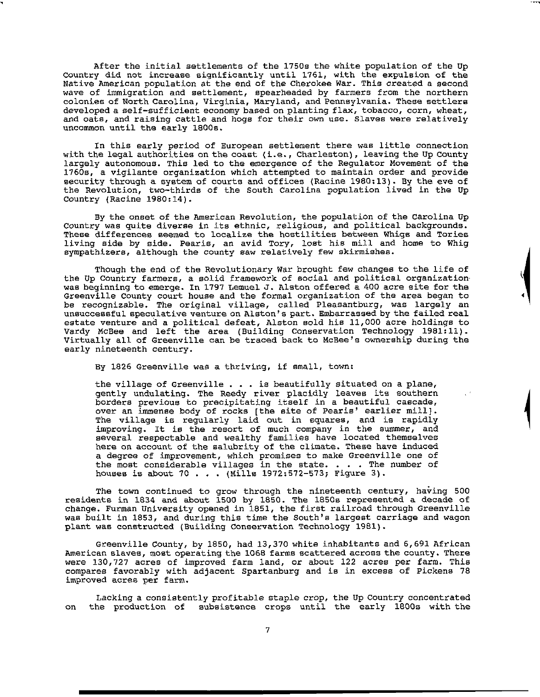After the initial settlements of the 1750s the white population of the Up Country did not increase significantly until 1761, with the expulsion of the Native American population at the end of the Cherokee War. This created a second wave of immigration and settlement, spearheaded by farmers from the northern colonies of North Carolina, Virginia, Maryland, and Pennsylvania. These settlers **developed a self-sufficient economy based on planting flax, tobacco, corn, wheat, and oats, and raising cattle and hogs for their own use. Slaves were relatively**  uncommon until the early 1800s.

In this early period of European settlement there was little connection with the legal authorities on the coast (i.e., Charleston), leaving the Up County largely autonomous. This led to the emergence of the Regulator Movement of the 1760s, a vigilante organization which attempted to maintain order and provide security through a system of courts and offices (Racine 1980:13). By the eve of the Revolution, two-thirds of the South Carolina population lived in the Up country (Racine 1980:14).

By the onset of the American Revolution, the population of the Carolina Up Country was quite diverse in its ethnic, religious, and political backgrounds. These differences seemed to localize the hostilities between Whigs and Tories living side by side. Pearis, an avid Tory, lost his mill and home to Whig **sympathizers, although the county saw relatively few skirmishes.** 

Though the end of the Revolutionary War brought few changes to the life of the Up Country farmers, a solid framework of social and political organization was beginning to emerge. In 1797 Lemuel J. Alston offered a 400 acre site for the Greenville County court house and the formal organization of the area began to be recognizable. The original village, called Pleasantburg, was largely an **unsuccessful speculative venture on Alston's part. Embarrassed by the failed real**  estate venture and a political defeat, Alston sold his 11,000 acre holdings to Vardy McBee and left the area (Building Conservation Technology 1981:11). Virtually all of Greenville can be traced back to McBee's ownership during the early nineteenth century.

'

By 1826 Greenville was a thriving, if small, town:

the village of Greenville  $\ldots$  is beautifully situated on a plane, gently undulating. The Reedy river placidly leaves its southern **borders previous to precipitating itself in a beautiful cascade,**  over an immense body of rocks [the site of Pearls' earlier mill]. The village is regularly laid out in squares, and is rapidly **improving. It is the resort of much company in the summer, and**  several respectable and wealthy families have located themselves here on account of the salubrity of the climate. These have induced **a degree of improvement, which promises to make Greenville one of**  the most considerable villages in the state. • • • The number of houses is about 70 . . . (Mills 1972:572-573; Figure 3).

The town continued to grow through the nineteenth century, having 500 residents in 1834 and about 1500 by 1850. The 1850s represented a decade of change. Furman University opened in 1851, the first railroad through Greenville was built in 1853, and during this time the South's largest carriage and wagon plant was constructed (Building Conservation Technology 19Bl).

Greenville County, by 1850, had 13,370 white inhabitants and 6,691 African **American slaves, most operating the 1068 farms scattered across the county. There**  were 130,727 acres of improved farm land, or about 122 acres per farm. This compares favorably with adjacent Spartanburg and is in excess of Pickens 78 **improved acres per farm.** 

Lacking a consistently profitable staple crop, the Up Country concentrated on the production of subsistence crops until the early 1800s with the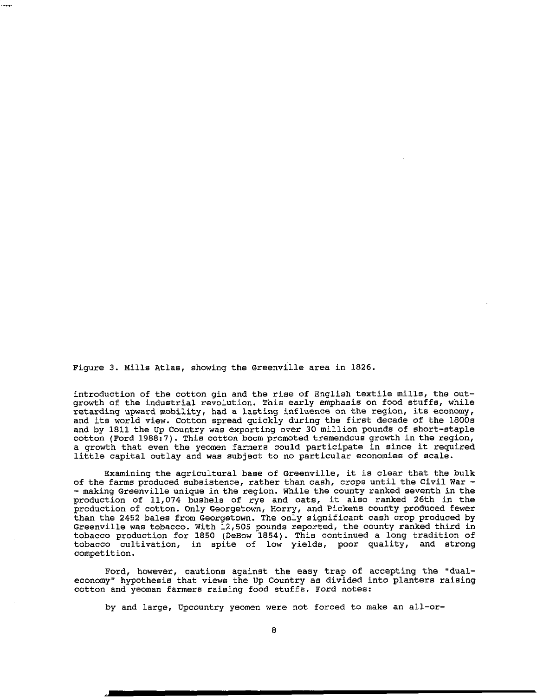Figure 3. Mills Atlas, showing the Greenville area in 1826.

 $\overline{\phantom{a}}$ 

introduction of the cotton gin and the rise of English textile mills, the outgrowth of the industrial revolution. This early emphasis on food stuffs, while retarding upward mobility, had a lasting influence on the region, its economy, and its world view. Cotton spread quickly during the first decade of the 1800s and by 1811 the Up Country was exporting over 30 million pounds of short-staple cotton (Ford 1988:7). This cotton boom promoted tremendous growth in the region, a growth that even the yeomen farmers could participate in since it required little capital outlay and was subject to no particular economies of scale.

Examining the agricultural base of Greenville, it is clear that the bulk of the farms produced subsistence, rather than cash, crops until the Civil War -<br>- making Greenville unique in the region. While the county ranked seventh in the production of 11,074 bushels of rye and oats, it also ranked 26th in the production of cotton. Only Georgetown, Horry, and Pickens county produced fewer than the 2452 bales from Georgetown. The only significant cash crop produced by Greenville was tobacco. With 12,505 pounds reported, the county ranked third in tobacco production for 1850 (DeBow 1854). This continued a long tradition of tobacco cultivation, in spite of low yields, poor quality, and strong competition.

Ford, however, cautions against the easy trap of accepting the "dualeconomy" hypothesis that views the Up Country as divided into planters raising **cotton and yeoman farmers raising food stuffs. Ford notes:** 

**by and large, Upcountry yeomen were not forced to make an all-or-**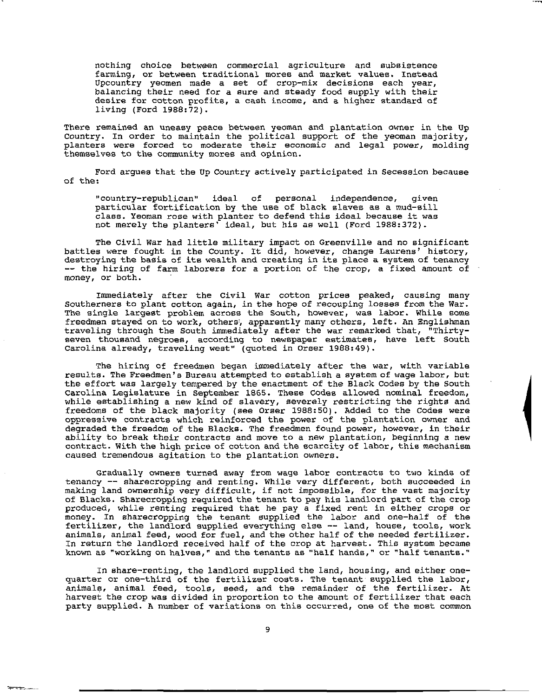**nothing choice between commercial agriculture and subsistence farming, or between traditional mores and market values. Instead Upcountry yeomen made a set of crop-mix decisions each year,**  balancing their need for a sure and steady food supply with their **desire for cotton profits, a caah income, and a higher standard of**  living (Ford 1988:72).

**There remained an uneasy peace between yeoman and plantation owner in the Up**  Country. In order to maintain the political support of the yeoman majority, **planters were forced to moderate their economic and legal power, molding themselves to the community mores and opinion.** 

Ford argues that the Up Country actively participated in Secession because of the:

**<sup>11</sup> country-republican11 ideal of personal independence, given**  particular fortification by the use of black slaves as a mud-sill **class. Yeoman rose with planter to defend this ideal because it was**  not merely the planters' ideal, but his as well (Ford 1988:372).

The Civil War had little military impact on Greenville and no significant **battles were fought in the County. It did, however, change Laurens' history,**  destroying the basis of its wealth and creating in its place a system of tenancy -- the hiring of farm laborers for a portion of the crop, a fixed amount of **money, or both.** 

Immediately after the Civil War cotton prices peaked, causing many **Southerners to plant cotton again, in the hope of recouping losses from the War. The single largest problem across the South, however, was labor. While some**  freedmen stayed on to work, others', apparently many others, left. An Englishman traveling through the South immediately after the war remarked that, "Thirty**seven thousand negroes, according to newspaper estimates, have left South**  Carolina already, traveling west" (quoted in Orser 1988:49).

The hiring of freedmen began immediately after the war, with variable **results. The Freedmen's Bureau attempted to establish a system of wage labor, but**  the effort was largely tempered by the enactment of the Black Codes by the South Carolina Legislature in September 1865. These Codes allowed nominal freedom, while establishing a new kind of slavery, severely restricting the rights and freedoms of the black majority (see Orser 1988:50). Added to the Codes were oppressive contracts which reinforced the power of the plantation owner and degraded the freedom of the Blacks. The freedmen found power, however, in their **ability to break their contracts and move to a new plantation, beginning a new**  contract. With the high price of cotton and the scarcity of labor, this mechanism caused tremendous agitation to the plantation owners.

Gradually owners turned away from wage labor contracts to two kinds of **tenancy -- sharecropping and renting. While very different, both succeeded in**  making land ownership very difficult, if not impossible, for the vast majority of Blacks. Sharecropping required the tenant to pay his landlord part of the crop produced, while renting required that he pay a fixed rent in either crops or money. In sharecropping the tenant supplied the labor and one-half of the **fertilizer, the landlord supplied everything else -- land, house, tools, work**  animals, animal feed, wood for fuel, and the other half of the needed fertilizer. In return the landlord received half of the crop at harvest. This system became **known aa "working on halves," and the tenants as "half hands," or "half tenants."** 

In share-renting, the landlord supplied the land, housing, and either onequarter or one-third of the fertilizer costs. The tenant supplied the labor, animals, animal feed, tools, seed, and the remainder of the fertilizer. At **harvest the crop was divided in proportion to the amount of fertilizer that each party supplied. A number of variations on this occurred, one of the most common** 

 $~\tau$   $~\tau$   $~\to$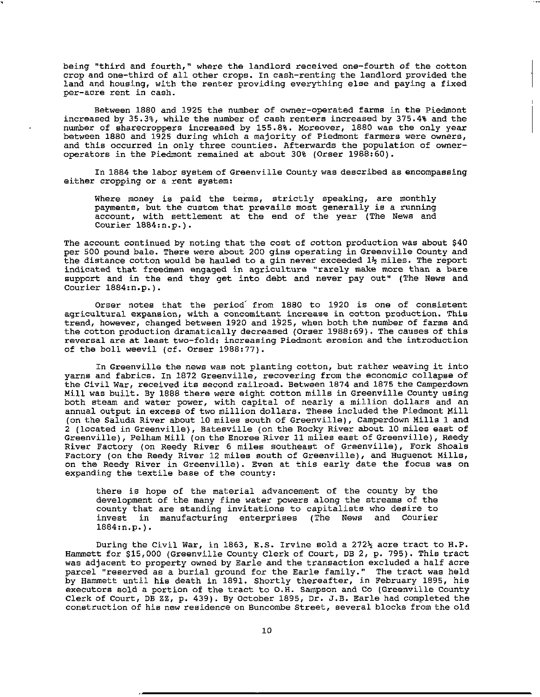being "third and fourth," where the landlord received one-fourth of the cotton crop and one-third of all other crops. In cash-renting the landlord provided the land and housing, with the renter providing everything else and paying a fixed **per-acre rent in cash.** 

Between 1880 and 1925 the number of owner-operated farms in the Piedmont increased by 35.3%, while the number of cash renters increased by 375.4% and the number of sharecroppers increased by 155.8%. Moreover, 1880 was the only year between 1880 and 1925 during which a majority of Piedmont farmers were owners, and this occurred in only three counties. Afterwards the population of owneroperators in the Piedmont remained at about 30% (Orser 1988:60).

In 1884 the labor system of Greenville County was described as encompassing **either cropping or a rent system:** 

Where money is paid the terms, strictly speaking, are monthly **payments, but the custom that prevails most generally is a running**  account, with settlement at the end of the year (The News and Courier 1884:n.p.).

The account continued by noting that the cost of cotton production was about \$40 per 500 pound bale. There were about 200 gins operating in Greenville County and the distance cotton would be hauled to a gin never exceeded  $1\frac{1}{2}$  miles. The report indicated that freedmen engaged in agriculture "rarely make more than a bare support and in the end they get into debt and never pay out" (The News and Courier 1884:n.p.).

Orser notes that the period' from 1880 to 1920 is one of consistent **agricultural expansion, with a concomitant increase in cotton production. This**  trend, however, changed between 1920 and 1925, when both the number of farms and the cotton production dramatically decreased (Orser 1988:69). The causes of this **reversal are at least two-fold: increasing Piedmont erosion and the introduction**  of the boll weevil (cf. Orser 1988:77).

In Greenville the news was not planting cotton, but rather weaving it into **yarns and fabrics. In 1872 Greenville, recovering from the economic collapse of**  the Civil War, received its second railroad. Between 1874 and 1875 the Camperdown Mill was built. By 1888 there were eight cotton mills in Greenville County using both steam and water power, with capital of nearly a million dollars and an annual output in excess of two million dollars. These included the Piedmont Mill (on the Saluda River about 10 miles south of Greenville), Camperdown Mills 1 and 2 (located in Greenville), Batesville (on the Rocky River about 10 miles east of Greenville), Pelham Mill (on the Enoree River 11 miles east of Greenville), Reedy River Factory (on Reedy River 6 miles southeast of Greenville), Fork Shoals Factory (on the Reedy River 12 miles south of Greenville), and Huguenot Mills, **on the Reedy River in Greenville). Even at this early date the focus was on**  expanding the textile base of the county:

there is hope of the material advancement of the county by the development of the many fine water powers along the streams of the **county that are standing invitations to capitalists who desire to**  invest in manufacturing enterprises (The News and Courier 1884:n.p.).

During the Civil War, in 1863, E.S. Irvine sold a  $272\frac{1}{2}$  acre tract to H.P. Hammett for \$15,000 (Greenville County Clerk of court, DB 2, p. 795). This tract was adjacent to property owned by Earle and the transaction excluded a half acre parcel "reserved as a burial ground for the Earle family." The tract was held by Hammett until his death in 1891. Shortly thereafter, in February 1895, his executors sold a portion of the tract to O.H. Sampson and Co (Greenville County Clerk of Court, DB zz, p. 439). By October 1895, Dr. J.B. Earle had completed the **construction of his new residence on Buncombe Street, several blocks from the old**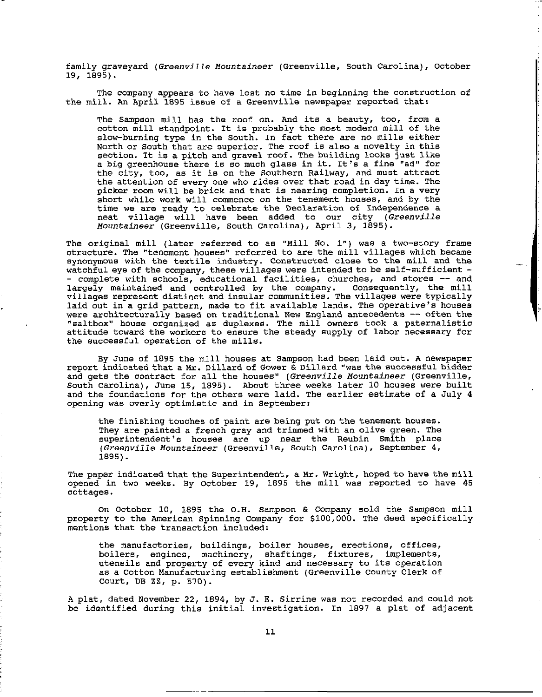family graveyard *(Greenville Mountaineer* (Greenville, South Carolina), October 19, 1895).

The company appears to have lost no time in beginning the construction of the mill. An April 1895 issue of a Greenville newspaper reported that:

The Sampson mill has the roof on. And its a beauty, too, from a cotton mill standpoint. It is probably the most modern mill of the slow-burning type in the South. In fact there are no mills either North or South that are superior. The roof is also a novelty in this section. It is a pitch and gravel roof. The building looks just like a big greenhouse there is so much glass in it. It's a fine "ad" for the city, too, as it is on the Southern Railway, and must attract the attention of every one who rides over that road in day time. The picker room will be brick and that is nearing completion. In a very **short while work will commence on the tenement houses, and by the time we are ready to celebrate the Declaration of Independence a**  neat village will have been added to our city *(Greenville Mountaineer* (Greenville, South Carolina), April 3, 1895).

The original mill (later referred to as "Mill No. l") was a two-story frame **structure. The "tenement houses" referred to are the mill villages which became**  synonymous with the textile industry. Constructed close to the mill and the watchful eye of the company, these villages were intended to be self-sufficient - - **complete with schools, educational facilities, churches, and stores -- and**  largely maintained and controlled by the company. consequently, the mill villages represent distinct and insular communities. The villages were typically laid out in a grid pattern, made to fit available lands. The operative's houses were architecturally based on traditional New England antecedents -- often the **"saltbox" house organized as duplexes. The mill owners took a paternalistic**  attitude toward the workers to ensure the steady supply of labor necessary for the successful operation of the mills.

By June of 1895 the mill houses at Sampson had been laid out. A newspaper report indicated that a Mr. Dillard of Gower & Dillard "was the successful bidder **and gets the contract for all the houses <sup>11</sup>***(Greenville Mountaineer* **(Greenville,**  South Carolina), June 15, 1895). About three weeks later 10 houses were built and the foundations for the others were laid. The earlier estimate of a July 4 **opening was overly optimistic and in September:** 

the finishing touches of paint are being put on the tenement houses. They are painted a french gray and trimmed with an olive green. The superintendent's houses are up near the Reubin Smith place *(Greenville Mountaineer* **(Greenville, South Carolina), September 4,**  1895).

The paper indicated that the Superintendent, a Mr. Wright, hoped to have the mill opened in two weeks. By October 19, 1895 the mill was reported to have 45 cottages.

on October 10, 1895 the O.H. Sampson & Company sold the Sampson mill property to the American Spinning Company for \$100,000. The deed specifically mentions that the transaction included:

**the manufactories, buildings, boiler houses, erections, offices, boilers, engines, machinery, shaftings, fixtures, implements,**  utensils and property of every kind and necessary to its operation as a Cotton Manufacturing establishment (Greenville county Clerk of court, DB zz, p. 570).

A plat, dated November 22, 1894, by J. E. Sirrine was not recorded and could not be identified during this initial investigation. In 1897 a plat of adjacent

---- - --------------------------------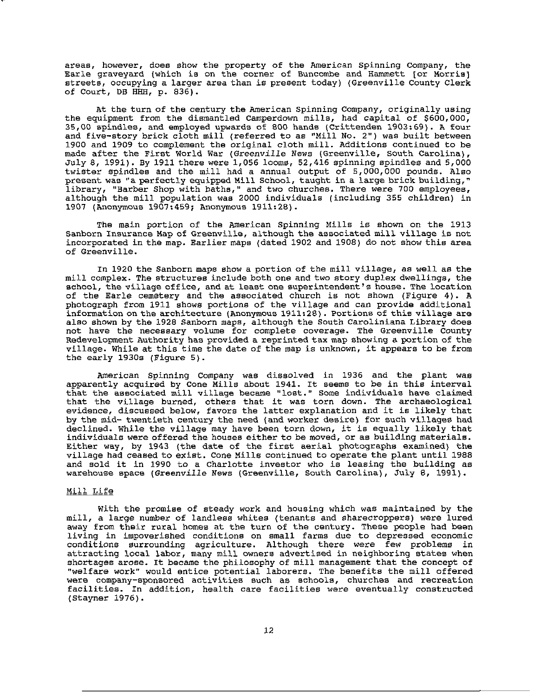**areas, however, does show the property of the American Spinning Company, the**  Earle graveyard (which is on the corner of Buncombe and Hammett [or Morris] streets, occupying a larger area than is present today) (Greenville County Clerk of Court,  $DB$  HHH,  $p. 836$ ).

At the turn of the century the American Spinning Company, originally using the equipment from the dismantled Camperdown mills, had capital of \$600,000, 35,00 spindles, and employed upwards of 800 hands (Crittenden 1903:69). A four and five-story brick cloth mill (referred to as "Mill No. 2"} was built between 1900 and 1909 to complement the original cloth mill. Additions continued to be made after the First World War *(Greenville* News (Greenville, south Carolina}, July 8, 1991). By 1911 there were 1,056 looms, 52,416 spinning spindles and 5,000 twister spindles and the mill had a annual output of 5,000,000 pounds. Also present was "a perfectly equipped Mill School, taught in a large brick building," **library, "Barber Shop with bathe, <sup>11</sup>and two churches. There were 700 employees,**  although the mill population was 2000 individuals (including 355 children} in 1907 (Anonymous 1907:459; Anonymous 1911:28).

The main portion of the American Spinning Mills is shown on the 1913 Sanborn Insurance Map of Greenville, although the associated mill village is not incorporated in the map. Earlier maps (dated 1902 and 1908) do not show this area **of Greenville.** 

In 1920 the Sanborn maps show a portion of the mill village, as well as the mill complex. The structures include both one and two story duplex dwellings, the **school, the village office, and at least one superintendent's house. The location**  of the Earle cemetery and the associated church is not shown (Figure 4). A photograph from 1911 shows portions of the village and can provide additional **information on the architecture {Anonymous** 1911~28}. **Portions of this village are**  also shown by the 1928 Sanborn maps, although the South Caroliniana Library does not have the necessary volume for complete coverage. The Greenville County Redevelopment Authority has provided a reprinted tax map showing a portion of the village. While at this time the date of the map is unknown, it appears to be from the early 1930s (Figure 5).

American Spinning Company was dissolved in 1936 and the plant was apparently acquired by Cone Mills about 1941. It seems to be in this interval that the associated mill village became "lost." some individuals have claimed that the village burned, others that it was torn down. The archaeological evidence, discussed below, favors the latter explanation and it is likely that by the mid- twentieth century the need (and worker desire) for such villages had declined. While the village may have been torn down, it is equally likely that individuals were offered the houses either to be moved, or as building materials. Either way, by 1943 (the date of the first aerial photographs examined) the village had ceased to exist. Cone Mills continued to operate the plant until 1988 and sold it in 1990 to a Charlotte investor who is leasing the building as warehouse space *(Greenville* News (Greenville, South Carolina), July 8, 1991).

#### Mill Life

With the promise of steady work and housing which was maintained by the mill, a large number of landless whites (tenants and sharecroppers) were lured away from their rural homes at the turn of the century. These people had been **living in impoverished conditions on small farms due to depressed economic**  conditions surrounding agriculture. Although there were few problems in attracting local labor, many mill owners advertised in neighboring states when shortages arose. It became the philosophy of mill management that the concept of "welfare work" would entice potential laborers. The benefits the mill offered **were company-sponsored activities such as schools, churches and recreation**  facilities. In addition, health care facilities were eventually constructed (Stayner 1976).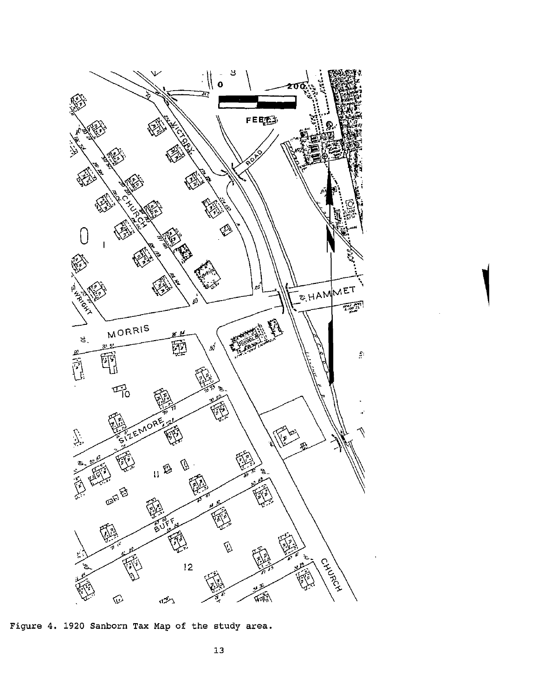

Figure 4. 1920 Sanborn Tax Map of the study area.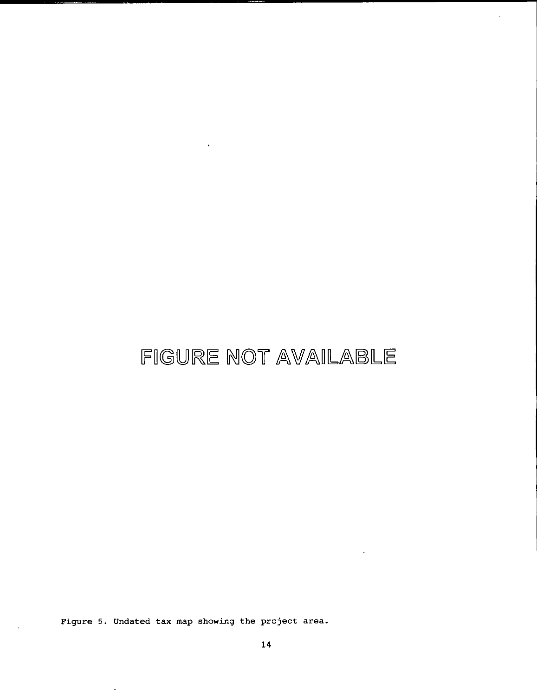# FIGURE NOT AVAILABLE

l.

Figure 5. Undated tax map showing the project area.

 $\hat{\boldsymbol{\theta}}$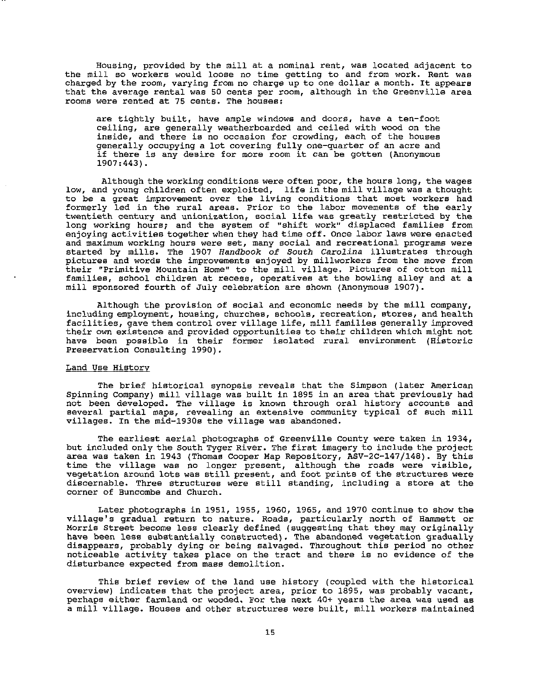Housing, provided by the mill at a nominal rent, was located adjacent to **the mill so workers would loose no time getting to and from work. Rent was charged by the room, varying from no charge up to one dollar a month. It appears**  that the average rental was 50 cents per room, although in the Greenville area **rooms were rented at 75 cents. The houses:** 

are tightly built, have ample windows and doors, have a ten-foot ceiling, are generally weatherboarded and ceiled with wood on the **inside, and there is no occasion for crowding, each of the houses**  generally occupying a lot covering fully one-quarter of an acre and **if there is any desire for more room it can be gotten {Anonymous**  1907:443).

Although the working conditions were often poor, the hours long, the wages low, and young children often exploited, life in the mill village was a thought **to be a great improvement over the living conditions that most workers had**  formerly led in the rural areas. Prior to the labor movements of the early twentieth century and unionization, social life was greatly restricted by the long working hours; and the system of "shift work" displaced families from enjoying activities together when they had time off. Once labor laws were enacted **and maximum working hours were set, many social and recreational programs were**  started by mills. The 1907 Handbook of South Carolina illustrates through pictures and words the improvements enjoyed by millworkers from the move from **their "Primitive Mountain Home" to the mill village. Pictures of cotton mill families, school children at recess, operatives at the bowling alley and at a**  mill sponsored fourth of July celebration are shown (Anonymous 1907).

Although the provision of social and economic needs by the mill company, **including employment, housing, churches, schools, recreation, stores, and health**  facilities, gave them control over village life, mill families generally improved their own existence and provided opportunities to their children which might not have been possible in their former isolated rural environment (Historic Preservation Consulting 1990).

#### **Land Use History**

The brief historical synopsis reveals that the Simpson (later American Spinning Company) mill village was built in 1895 in an area that previously had not been developed. The village is known through oral history accounts and **several partial maps, revealing an extensive community typical of such mill**  villages. In the mid-1930s the village was abandoned.

The earliest aerial photographs of Greenville County were taken in 1934, but included only the south Tyger River. The first imagery to include the project area was taken in 1943 (Thomas Cooper Map Repository, ASV-2C-147/148). By this time the village was no longer present, although the roads were visible, vegetation around lots was still present, and foot prints of the structures were discernable. Three structures were still standing, including a store at the corner of Buncombe and Church.

Later photographs in 1951, 1955, 1960, 1965, and 1970 continue to show the village's gradual return to nature. Roads, particularly north of Hammett or Morris Street become lees clearly defined (suggesting that they may originally have been less substantially constructed). The abandoned vegetation gradually disappears, probably dying or being salvaged. Throughout this period no other noticeable activity takes place on the tract and there is no evidence of the disturbance expected from mass demolition.

This brief review of the land use history (coupled with the historical overview) indicates that the project area, prior to 1895, was probably vacant, perhaps either farmland or wooded. For the next 40+ years the area was used as a mill village. Houses and other structures were built, mill workers maintained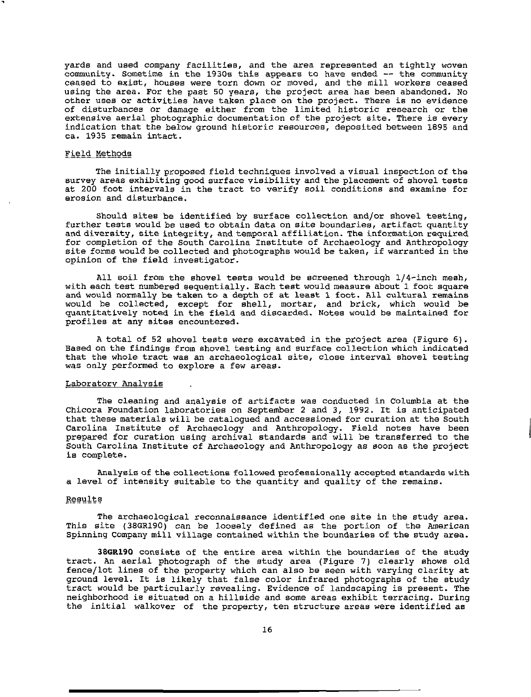yards and used company facilities, and the area represented an tightly woven community. Sometime in the 1930s this appears to have ended -- the community **ceased to exist, houses were torn down or moved, and the mill workers ceased**  using the area. For the past 50 years, the project area has been abandoned. No **other uses or activities have taken place on the project. There is no evidence**  of disturbances or damage either from the limited historic research or the **extensive aerial photographic documentation of the project site. There is every**  indication that the below ground historic resources, deposited between 1895 and ca. 1935 remain intact.

#### Field Methods

The initially proposed field techniques involved a visual inspection of the survey areas exhibiting good surface visibility and the placement of shovel tests at 200 foot intervals in the tract to verify soil conditions and examine for erosion and disturbance.

Should sites be identified by surface collection and/or shovel testing, further tests would be used to obtain data on site boundaries, artifact quantity and diversity, site integrity, and temporal affiliation. The information required for completion of the South Carolina Institute of Archaeology and Anthropology site forms would be collected and photographs would be taken, if warranted in the opinion of the field investigator.

All soil from the shovel tests would be screened through 1/4-inch mesh, with each test numbered sequentially. Each test would measure about 1 foot square and would normally be taken to a depth of at least 1 foot. All cultural remains would be collected, except for shell, mortar, and brick, which would be quantitatively noted in the field and discarded. Notes would be maintained for **profiles at any sites encountered.** 

A total of 52 shovel tests were excavated in the project area (Figure 6). **Based on the findings from shovel testing and surface collection which indicated that the whole tract was an archaeological site, close interval shovel testing**  was only performed to explore a few areas.

#### Laboratory Analysis

The cleaning and analysis of artifacts was conducted in Columbia at the Chicora Foundation laboratories on September 2 and 3, 1992. It is anticipated that these materials will be catalogued and accessioned for curation at the South Carolina Institute of Archaeology and Anthropology. Field notes have been prepared for curation using archival standards and will be transferred to the South Carolina Institute of Archaeology and Anthropology as soon as the project is complete.

Analysis of the collections followed professionally accepted standards with a level of intensity suitable to the quantity and quality of the remains.

#### Results

The archaeological reconnaissance identified one site in the study area. This site (38GR190) can be loosely defined as the portion of the American Spinning company mill village contained within the boundaries of the study area.

**38GR190** consists of the entire area within the boundaries of the study tract. An aerial photograph of the study area (Figure 7) clearly shows old fence/lot lines of the property which can also be seen with varying clarity at ground level. It is likely that false color infrared photographs of the study tract would be particularly revealing. Evidence of landscaping is present. The neighborhood is situated on a hillside and some areas exhibit terracing. During the initial walkover of the property, ten structure areas were identified as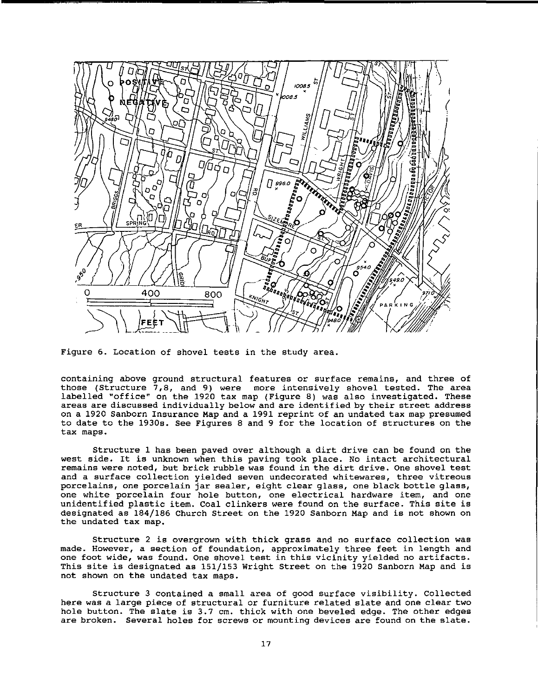

Figure 6. Location of shovel tests in the study area.

**containing above ground structural features or surface remains, and three of those (Structure 7,8, and 9) were more intensively shovel tested. The area**  labelled "office" on the 1920 tax map (Figure 8) was also investigated. These **areas are discussed individually below and are identified by their street address**  on a 1920 Sanborn Insurance Map and a 1991 reprint of an undated tax map presumed to date to the 1930s. See Figures 8 and 9 for the location of structures on the **tax maps.** 

Structure 1 has been paved over although a dirt drive can be found on the **west side. It is unknown when this paving took place. No intact architectural remains were noted, but brick rubble was found in the dirt drive. One shovel test and a surface collection yielded seven undecorated whitewares, three vitreous porcelains, one porcelain jar sealer, eight clear glass, one black bottle glass, one white porcelain four hole button, one electrical hardware item, and one**  unidentified plastic item. coal clinkers were found on the surface. This site is designated as 184/186 Church Street on the 1920 Sanborn Map and is not shown on the undated tax map.

**Structure 2 is overgrown with thick grass and no surface collection was made. However, a section of foundation, approximately three feet in length and one foot wide, was found. One shovel test in this vicinity yielded no artifacts.**  This site is designated as 151/153 Wright Street on the 1920 Sanborn Map and is not shown on the undated tax maps.

Structure 3 contained a small area of good surface visibility. Collected **here was a large piece of structural or furniture related slate and one clear two hole button. The slate is 3.7** cm. **thick with one beveled edge. The other edges are broken. Several holes for screws or mounting devices are found on the slate.**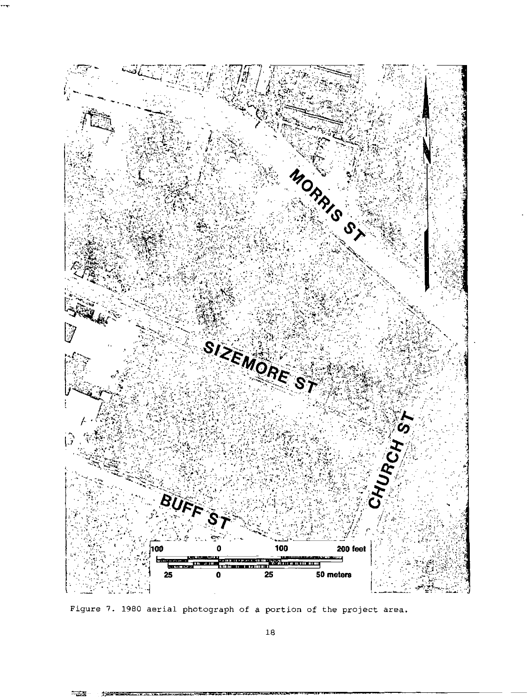

Figure 7. 1980 aerial photograph of a portion of the project area.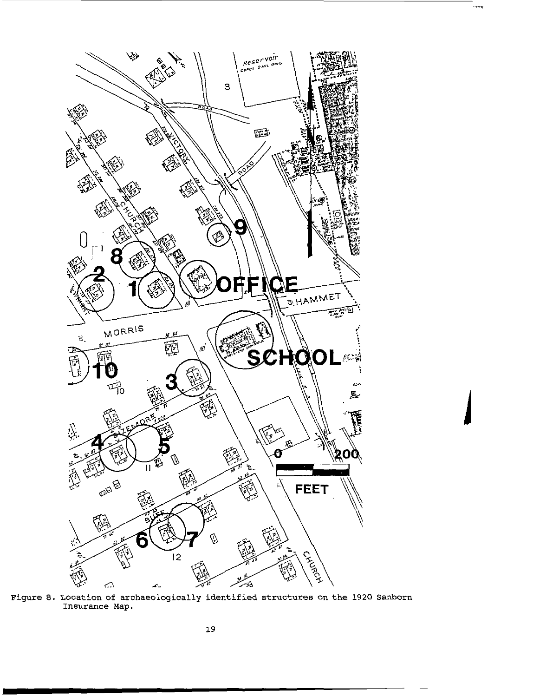

 $\overline{\mathbf{r}}$ 

Figure 8. Location of archaeologically identified structures on the 1920 Sanborn Insurance Map.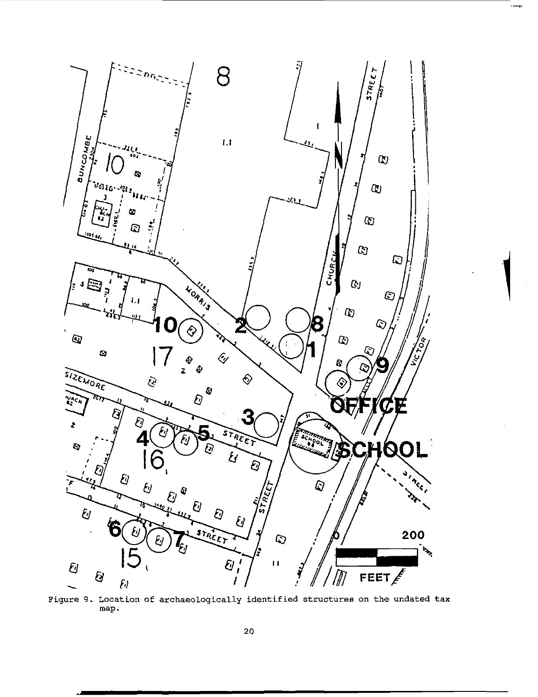

Figure 9. Location of archaeologically identified structures on the undated tax map.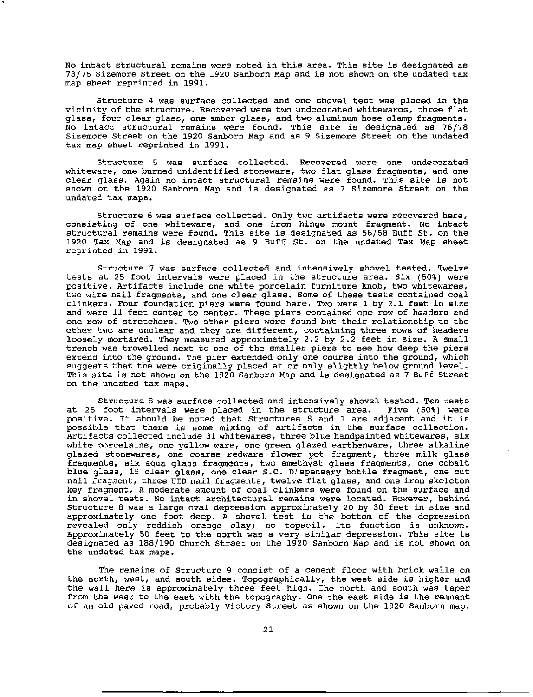No intact structural remains were noted in this area. This site is designated as 73/75 Sizemore Street on the 1920 Sanborn Map and is not shown on the undated tax map sheet reprinted in 1991.

Structure 4 was surface collected and one shovel test was placed in the vicinity of the structure. Recovered were two undecorated whitewares, three flat glass, four clear glass, one amber glass, and two aluminum hose clamp fragments. No intact structural remains were found. This site is designated as 76/78 **Sizemore Street on the 1920 Sanborn Map and as 9 Sizemore Street on the undated**  tax map sheet reprinted in 1991.

Structure 5 was surface collected. Recovered were one undecorated **whiteware, one burned unidentified stoneware, two flat glass fragments, and one clear glass. Again no intact structural remains were found. This site is not**  shown on the 1920 Sanborn Map and is designated as 7 Sizemore Street on the undated tax maps.

**Structure 6 was surface collected. Only two artifacts were recovered here, consisting of one whiteware, and one iron hinge mount fragment. No intact**  structural remains were found. This site is designated as 56/58 Buff st. on the 1920 Tax Map and is designated as 9 Buff St. on the undated Tax Map sheet reprinted in 1991.

**structure 7 was surface collected and intensively shovel tested. Twelve**  tests at 25 foot intervals were placed in the structure area. Six (50%) were positive. Artifacts include one white porcelain furniture knob, two whitewares, **two wire nail fragments, and one clear glass. Some of these tests contained coal clinkers. Four foundation piers were found here. Two were l by 2.1 feet in size and were 11 feet center to center. These piers contained one row of headers and**  one row of stretchers. Two other' piers were found but their relationship to the **other two are unclear and they are different; containing three rows of headers**  loosely mortared. They measured approximately 2.2 by 2.2 feet in size. A small trench was trowelled next to one of the smaller piers to see how deep the piers **extend into the ground. The pier extended only one course into the ground, which**  suggests that the were originally placed at or only slightly below ground level. This site is not shown on the 1920 Sanborn Map and is designated as 7 Buff Street on the undated tax maps.

Structure 8 was surface collected and intensively shovel tested. Ten tests at 25 foot intervals were placed in the structure area. Five (50%) were positive. It should be noted that Structures 8 and 1 are adjacent and it is possible that there is some mixing of artifacts in the surface collection. Artifacts collected include 31 whitewares, three blue handpainted whitewares, six white porcelains, one yellow ware, one green glazed earthenware, three alkaline **glazed stonewares, one coarse redware flower pot fragment, three milk glass fragments, six aqua glass fragments, two amethyst glass fragments, one cobalt**  blue glass, 15 clear glass, one clear s.c. Dispensary bottle fragment, one cut **nail fragment, three UID nail fragments, twelve flat glass, and one iron skeleton**  key fragment. A moderate amount of coal clinkers were found on the surface and **in shovel tests. No intact architectural remains were located. However, behind**  Structure 8 was a large oval depression approximately 20 by 30 feet in size and approximately one foot deep. A shovel test in the bottom of the depression revealed only reddish orange clay; no topsoil. Its function is unknown. Approximately 50 feet to the north was a very similar depression. This site is designated as 188/190 Church Street on the 1920 Sanborn Map and is not shown on the undated tax maps.

The remains of Structure 9 consist of a cement floor with brick walls on the north, west, and south sides. Topographically, the west side is higher and the wall here is approximately three feet high. The north and south was taper from the west to the east with the topography. One the east side is the remnant of an old paved road, probably Victory street as shown on the 1920 Sanborn map.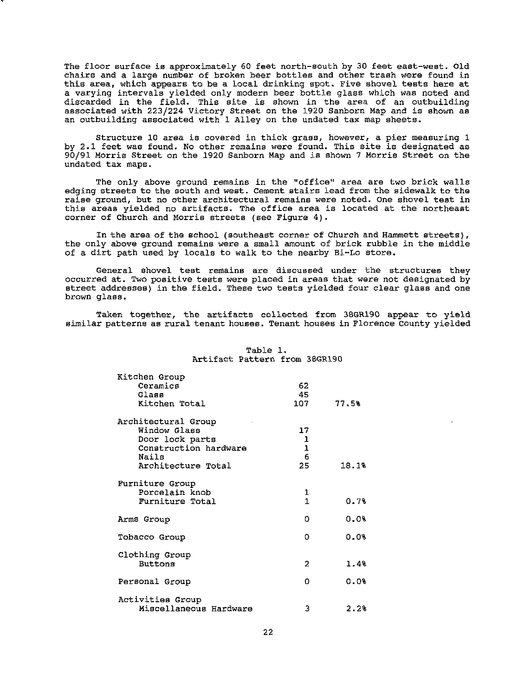The floor surface is approximately 60 feet north-south by 30 feet east-west. Old **chairs and a large number of broken beer bottles and other trash were found in**  this area, which appears to be a local drinking spot. Five shovel tests here at a varying intervals yielded only modern beer bottle glass which was noted and discarded in the field. This site is shown in the area of an outbuilding associated with 223/224 Victory Street on the 1920 Sanborn Map and is shown as an outbuilding associated with 1 Alley on the undated tax map sheets.

**structure 10 area is covered in thick grass, however, a pier measuring 1**  by 2.1 feet was found. No other remains were found. This site is designated as 90/91 Morris Street on the 1920 Sanborn Map and is shown 7 Morris Street on the undated tax maps.

The only above ground remains in the "office" area are two brick walls edging streets to the south and west. cement stairs lead from the sidewalk to the **raise ground, but no other architectural remains were noted. One shovel teat in**  this areas yielded no artifacts. The office area is located at the northeast corner of Church and Morris streets (see Figure 4).

In the area of the school (southeast corner of Church and Hammett streets) , the only above ground remains were a small amount of brick rubble in the middle of a dirt path used by locals to walk to the nearby Bi-Lo store.

**General shovel test remains are discussed under the structures they occurred at. Two positive tests were placed in areas that were not designated by**  street addresses) in the field. These two tests yielded four clear glass and one **brown glass.** 

Taken together, the artifacts collected from 38GR190 appear to yield **similar patterns as rural tenant houses. Tenant houses in Florence County yielded** 

| Kitchen Group<br>Ceramics<br>Glass                                                                             | 62<br>45                |       |
|----------------------------------------------------------------------------------------------------------------|-------------------------|-------|
| Kitchen Total                                                                                                  | 107                     | 77.5% |
| Architectural Group<br>Window Glass<br>Door lock parts<br>Construction hardware<br>Naile<br>Architecture Total | 17<br>1<br>1<br>6<br>25 | 18.1% |
| Furniture Group<br>Porcelain knob                                                                              | 1                       |       |
| Furniture Total                                                                                                | $\mathbf{1}$            | 0.7%  |
| Arms Group                                                                                                     | O                       | 0.0%  |
| Tobacco Group                                                                                                  | 0                       | 0.0%  |
| Clothing Group<br><b>Buttons</b>                                                                               | 2                       | 1.4%  |
| Personal Group                                                                                                 | o                       | 0.0%  |
| Activities Group<br>Miscellaneous Hardware                                                                     | 3                       | 2.2%  |

Table 1. Artifact Pattern from 38GR190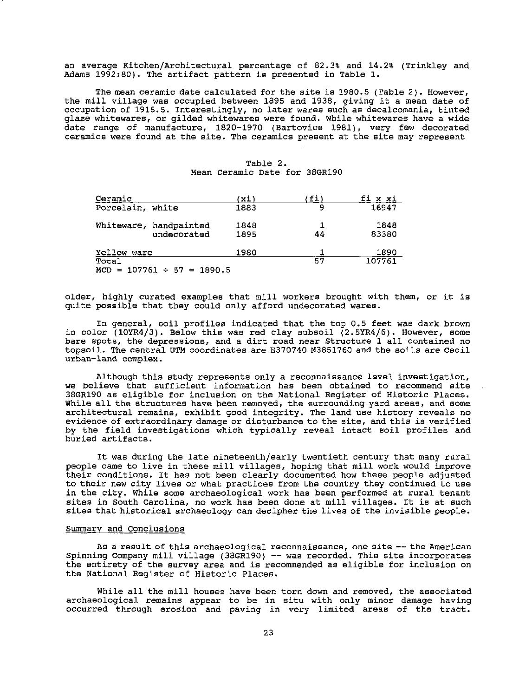an average Kitchen/Architectural percentage of 82. 3% and 14. 2% (Trinkley and Adams 1992:80). The artifact pattern is presented in Table 1.

The mean ceramic date calculated for the site is 1980.5 (Table 2). However, the mill village was occupied between 1895 and 1938, giving it a mean date of **occupation of 1916.5. Interestingly, no later wares such as decalcomania, tinted glaze whitewares, or gilded whitewares were found. While whitewares have a wide**  date range of manufacture, 1820-1970 (Bartovics 1981), very few decorated **ceramics were found at the site. The ceramics present at the site may represent** 

| <u>Ceramic</u>       |                                       | 'xi)         | (fi) | fi x xi        |
|----------------------|---------------------------------------|--------------|------|----------------|
| Porcelain, white     |                                       | 1883         | ٩    | 16947          |
|                      | Whiteware, handpainted<br>undecorated | 1848<br>1895 | 44   | 1848<br>83380  |
| Yellow ware<br>Total | $MCD = 107761 \div 57 = 1890.5$       | 1980         | 57   | 1890<br>107761 |

| Table 2. |                               |  |  |  |
|----------|-------------------------------|--|--|--|
|          | Mean Ceramic Date for 38GR190 |  |  |  |

older, highly curated examples that mill workers brought with them, or it is quite possible that they could only afford undecorated wares.

In general, soil profiles indicated that the top 0.5 feet was dark brown in color  $(10YR4/3)$ . Below this was red clay subsoil  $(2.5YR4/6)$ . However, some **bare spots, the depressions, and a dirt road near Structure 1 all contained no**  topsoil. The central UTM coordinates are E370740 N3851760 and the soils are Cecil **urban-land complex.** 

Although this study represents only a reconnaissance level investigation, **we believe that sufficient information has been obtained to recormnend site**  38GR190 as eligible for inclusion on the National Register of Historic Places. **While all the structures have been removed, the surrounding yard areas, and some**  architectural remains, exhibit good integrity. The land use history reveals no **evidence of extraordinary damage or disturbance to the site, and this is verified**  by the field investigations which typically reveal intact soil profiles and **buried artifacts.** 

It was during the late nineteenth/early twentieth century that many rural people came to live in these mill villages, hoping that mill work would improve their conditions. It has not been clearly documented how these people adjusted **to their new city lives or what practices from the country they continued to use**  in the city. While some archaeological work has been performed at rural tenant sites in South Carolina, no work has been done at mill villages. It is at such sites that historical archaeology can decipher the lives of the invisible people.

#### **Summary and Conclusions**

**As a result of this archaeological reconnaissance, one site -- the American**  Spinning Company mill village (38GR190) -- was recorded. This site incorporates the entirety of the survey area and is recommended as eligible for inclusion on the National Register of Historic Places.

**While all the mill houses have been torn down and removed, the associated archaeological remains appear to be in situ with only minor damage having occurred through erosion and paving in very limited areas of the tract.**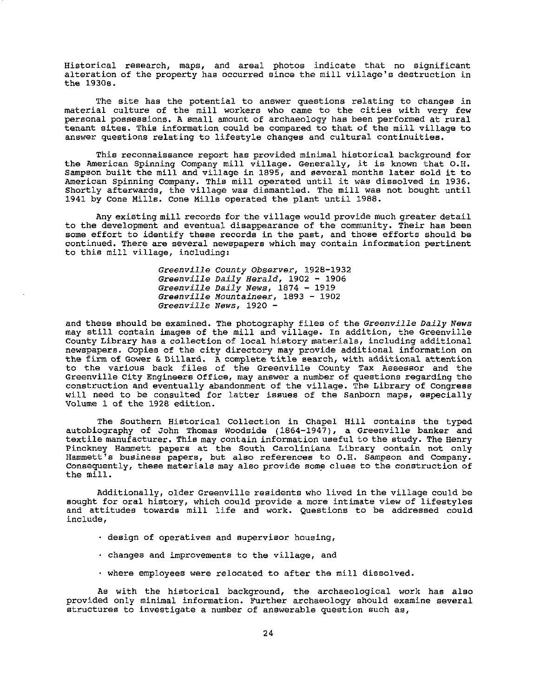Historical research, maps, and areal photos indicate that no significant alteration of the property has occurred since the mill village's destruction in the 1930s.

The site has the potential to answer questions relating to changes in material culture of the mill workers who came to the cities with very few personal possessions. A small amount of archaeology has been performed at rural tenant sites. This information could be compared to that of the mill village to answer questions relating to lifestyle changes and cultural continuities.

This reconnaissance report has provided minimal historical background for the American Spinning Company mill village. Generally, it is known that O.H. Eine American spinning company mili village. Generally, it is known that O.H.<br>Sampson built the mill and village in 1895, and several months later sold it to American Spinning Company. This mill operated until it was dissolved in 1936. Shortly afterwards, the village was dismantled. The mill was not bought until 1941 by Cone Mille. Cone Mille operated the plant until 1988.

Any existing mill records for the village would provide much greater detail to the development and eventual disappearance of the community. Their has been some effort to identify these records in the past, and those efforts should be **continued. There are several newspapers which may contain information pertinent**  to this mill village, including:

> *Greenville* County *Observer,* 1928-1932 *Greenville Daily Herald,* 1902 - 1906 *Greenville Daily News,* 1874 - 1919 *Greenville Mountaineer,* 1893 - 1902 *Greenville News,* **1920** -

and these should be examined. The photography files of the *Greenville Daily News*  may still contain images of the mill and village. In addition, the Greenville County Library has a collection of local history materials, including additional newspapers. Copies of the city directory may provide additional information on the firm of Gower & Dtllard. A complete title search, with additional attention to the various back files of the Greenville County Tax Assessor and the Greenville City Engineers Office, may answer a number of questions regarding the construction and eventually abandonment of the village. The Library of Congress will need to be consulted for latter issues of the Sanborn maps, especially Volume 1 of the 1928 edition.

The Southern Historical Collection in Chapel Hill contains the typed autobiography of John Thomas Woodside  $(1864-1947)$ , a Greenville banker and textile manufacturer. This may contain information useful to the study. The Henry Pinckney Hammett papers at the South Caroliniana Library contain not only **Hammett's business papers, but also references to O.H. Sampson and Company.**  Consequently, these materials may also provide some clues to the construction of the mill.

Additionally, older Greenville residents who lived in the village could be **sought for oral history, which could provide a more intimate view of lifestyles**  and attitudes towards mill life and work. Questions to be addressed could **include,** 

- **design of operatives and supervisor housing,**
- changes and improvements to the village, and
- where employees were relocated to after the mill dissolved.

As with the historical background, the archaeological work has also provided only minimal information. Further archaeology should examine several **structures to investigate a number of answerable question such as,**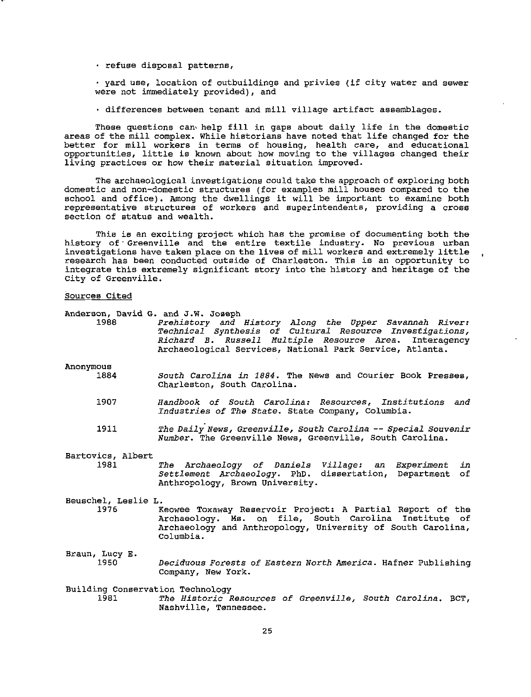refuse disposal patterns,

yard use, location of outbuildings and privies (if city water and sewer were not immediately provided), and

· differences between tenant and mill village artifact assemblages.

These questions can' help fill in gaps about daily life in the domestic areas of the mill complex. While historians have noted that life changed for the **better for mill workers in terms of housing, health care, and educational**  opportunities, little is known about how moving to the villages changed their **living practices or how their material situation improved.** 

The archaeological investigations could take the approach of exploring both domestic and non-domestic structures (for examples mill houses compared to the school and office). Among the dwellings it will be important to examine both **representative structures of workers and superintendents, providing a cross**  section of status and wealth.

This is an exciting project which has the promise of documenting both the history of· Greenville and the entire textile industry. No previous urban investigations have taken place on the lives of mill workers and extremely little research has been conducted outside of Charleston. This is an opportunity to integrate this extremely significant story into the history and heritage of the City of Greenville.

#### **Sources Cited**

**Anderson, David**  G. and J.W. Joseph

1988 **Anonymous**  1884 1907 1911 Bartovics, Albert 1981 *Prehistory and History Along the Upper savannah River: Technical synthesis of Cultural Resource Investigations, Richard B. Russell Multiple Resource* Area. Interagency **Archaeological Services, National Park Service, Atlanta.**  *South Carolina in 1884.* The News and Courier Book Presses, Charleston, South Carolina. *Handbook of South Carolina: Resources, Institutions and Industries of The State.* State Company, Columbia. *The Daily News, Greenville, South Carolina* -- *Special Souvenir Number.* The Greenville News, Greenville, South Carolina. *The Archaeology of Daniels Village:* an *Settlement Archaeology.* PhD. dissertation, Anthropology, Brown University. *Experiment*  Department *in*  of **Beuschel, Leslie L.**  Keowee Toxaway Reservoir Project: A Partial Report of the Archaeology. Ms. on file, South Carolina Institute of Archaeology and Anthropology, University of South Carolina, Columbia.

**Braun, Lucy E.**  1950 *Deciduous* Forests *of Eastern North* America. Hafner Publishing **Company, New York.** 

Building Conservation Technology<br>1981 The Historic R 1981 *The Historic Resources of Greenville, South Carolina.* BCT, **Nashville, Tennessee.**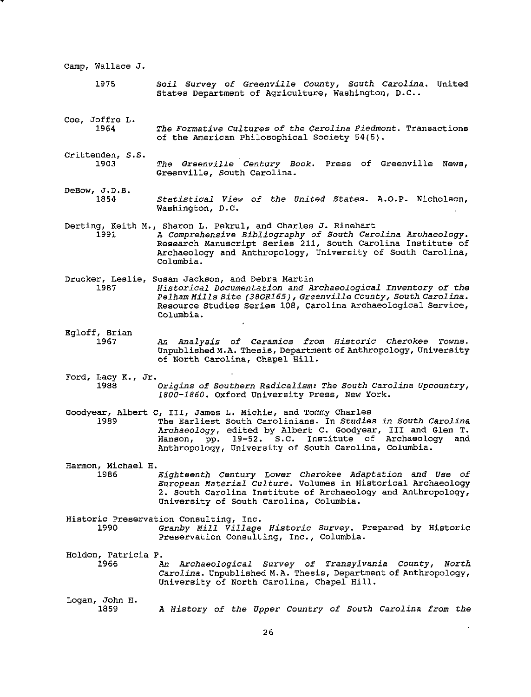| Camp, Wallace J.            |                                                                                                                                                                                                                                                                                                                  |
|-----------------------------|------------------------------------------------------------------------------------------------------------------------------------------------------------------------------------------------------------------------------------------------------------------------------------------------------------------|
| 1975                        | Soil Survey of Greenville County, South Carolina. United<br>States Department of Agriculture, Washington, D.C                                                                                                                                                                                                    |
| Coe, Joffre L.<br>1964      | The Formative Cultures of the Carolina Piedmont. Transactions<br>of the American Philosophical Society 54(5).                                                                                                                                                                                                    |
| Crittenden, S.S.<br>1903    | The Greenville Century Book. Press of Greenville News,<br>Greenville, South Carolina.                                                                                                                                                                                                                            |
| DeBow, J.D.B.<br>1854       | Statistical View of the United States. A.O.P. Nicholson,<br>Washington, D.C.                                                                                                                                                                                                                                     |
| 1991                        | Derting, Keith M., Sharon L. Pekrul, and Charles J. Rinehart<br>A Comprehensive Bibliography of South Carolina Archaeology.<br>Research Manuscript Series 211, South Carolina Institute of<br>Archaeology and Anthropology, University of South Carolina,<br>Columbia.                                           |
| 1987                        | Drucker, Leslie, Susan Jackson, and Debra Martin<br>Historical Documentation and Archaeological Inventory of the<br>Pelham Mills Site (38GR165), Greenville County, South Carolina.<br>Resource Studies Series 108, Carolina Archaeological Service,<br>Columbia.                                                |
| Egloff, Brian<br>1967       | An Analysis of Ceramics from Historic Cherokee Towns.<br>Unpublished M.A. Thesis, Department of Anthropology, University<br>of North Carolina, Chapel Hill.                                                                                                                                                      |
| Ford, Lacy K., Jr.<br>1988  | Origins of Southern Radicalism: The South Carolina Upcountry,<br>1800-1860. Oxford University Press, New York.                                                                                                                                                                                                   |
| 1989                        | Goodyear, Albert C, III, James L. Michie, and Tommy Charles<br>The Earliest South Carolinians. In Studies in South Carolina<br>Archaeology, edited by Albert C. Goodyear, III and Glen T.<br>pp. 19-52. S.C. Institute of Archaeology<br>and<br>Hanson,<br>Anthropology, University of South Carolina, Columbia. |
| Harmon, Michael H.<br>1986  | Eighteenth Century Lower Cherokee Adaptation and Use of<br>European Material Culture. Volumes in Historical Archaeology<br>2. South Carolina Institute of Archaeology and Anthropology,<br>University of South Carolina, Columbia.                                                                               |
| 1990                        | Historic Preservation Consulting, Inc.<br>Granby Mill Village Historic Survey. Prepared by Historic<br>Preservation Consulting, Inc., Columbia.                                                                                                                                                                  |
| Holden, Patricia P.<br>1966 | An Archaeological Survey of Transylvania County, North<br>Carolina. Unpublished M.A. Thesis, Department of Anthropology,<br>University of North Carolina, Chapel Hill.                                                                                                                                           |
| Logan, John H.<br>1859      | A History of the Upper Country of South Carolina from the                                                                                                                                                                                                                                                        |

T.